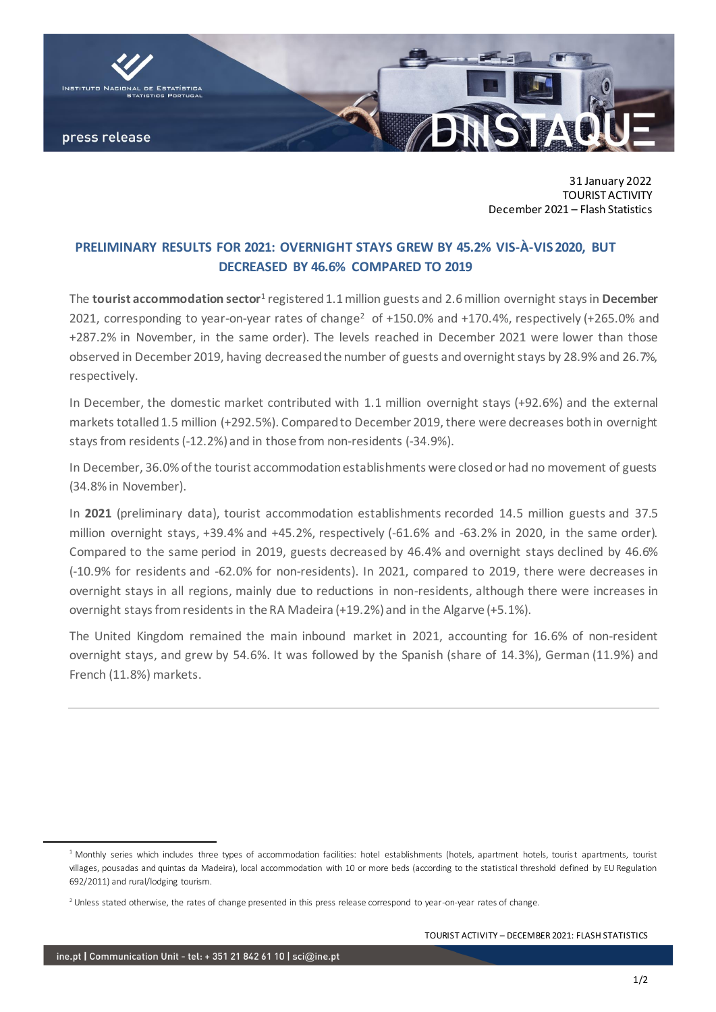

31 January 2022 TOURIST ACTIVITY December 2021 – Flash Statistics

## **PRELIMINARY RESULTS FOR 2021: OVERNIGHT STAYS GREW BY 45.2% VIS-À-VIS 2020, BUT DECREASED BY 46.6% COMPARED TO 2019**

The **tourist accommodation sector**<sup>1</sup> registered 1.1 million guests and 2.6 million overnight stays in **December** 2021, corresponding to year-on-year rates of change<sup>2</sup> of +150.0% and +170.4%, respectively (+265.0% and +287.2% in November, in the same order). The levels reached in December 2021 were lower than those observed in December 2019, having decreasedthe number of guests and overnight stays by 28.9% and 26.7%, respectively.

In December, the domestic market contributed with 1.1 million overnight stays (+92.6%) and the external markets totalled 1.5 million (+292.5%). Compared to December 2019, there were decreases both in overnight stays from residents (-12.2%) and in those from non-residents (-34.9%).

In December, 36.0% of the tourist accommodation establishments were closed or had no movement of guests (34.8% in November).

In **2021** (preliminary data), tourist accommodation establishments recorded 14.5 million guests and 37.5 million overnight stays, +39.4% and +45.2%, respectively (-61.6% and -63.2% in 2020, in the same order). Compared to the same period in 2019, guests decreased by 46.4% and overnight stays declined by 46.6% (-10.9% for residents and -62.0% for non-residents). In 2021, compared to 2019, there were decreases in overnight stays in all regions, mainly due to reductions in non-residents, although there were increases in overnight stays from residents in the RA Madeira (+19.2%) and in the Algarve (+5.1%).

The United Kingdom remained the main inbound market in 2021, accounting for 16.6% of non-resident overnight stays, and grew by 54.6%. It was followed by the Spanish (share of 14.3%), German (11.9%) and French (11.8%) markets.

TOURIST ACTIVITY – DECEMBER 2021: FLASH STATISTICS

<sup>&</sup>lt;sup>1</sup> Monthly series which includes three types of accommodation facilities: hotel establishments (hotels, apartment hotels, tourist apartments, tourist villages, pousadas and quintas da Madeira), local accommodation with 10 or more beds (according to the statistical threshold defined by EU Regulation 692/2011) and rural/lodging tourism.

<sup>&</sup>lt;sup>2</sup> Unless stated otherwise, the rates of change presented in this press release correspond to year-on-year rates of change.